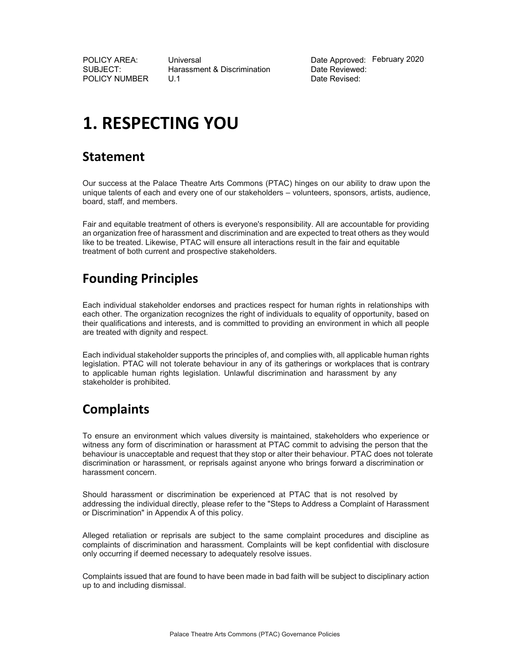POLICY AREA: Universal Date Approved:<br>
SUBJECT: Harassment & Discrimination Date Reviewed: SUBJECT: Harassment & Discrimination POLICY NUMBER U.1 **Date Revised:** 

Date Approved: February 2020

## **1. RESPECTING YOU**

#### **Statement**

Our success at the Palace Theatre Arts Commons (PTAC) hinges on our ability to draw upon the unique talents of each and every one of our stakeholders – volunteers, sponsors, artists, audience, board, staff, and members.

Fair and equitable treatment of others is everyone's responsibility. All are accountable for providing an organization free of harassment and discrimination and are expected to treat others as they would like to be treated. Likewise, PTAC will ensure all interactions result in the fair and equitable treatment of both current and prospective stakeholders.

### **Founding Principles**

Each individual stakeholder endorses and practices respect for human rights in relationships with each other. The organization recognizes the right of individuals to equality of opportunity, based on their qualifications and interests, and is committed to providing an environment in which all people are treated with dignity and respect.

Each individual stakeholder supports the principles of, and complies with, all applicable human rights legislation. PTAC will not tolerate behaviour in any of its gatherings or workplaces that is contrary to applicable human rights legislation. Unlawful discrimination and harassment by any stakeholder is prohibited.

#### **Complaints**

To ensure an environment which values diversity is maintained, stakeholders who experience or witness any form of discrimination or harassment at PTAC commit to advising the person that the behaviour is unacceptable and request that they stop or alter their behaviour. PTAC does not tolerate discrimination or harassment, or reprisals against anyone who brings forward a discrimination or harassment concern.

Should harassment or discrimination be experienced at PTAC that is not resolved by addressing the individual directly, please refer to the "Steps to Address a Complaint of Harassment or Discrimination" in Appendix A of this policy.

Alleged retaliation or reprisals are subject to the same complaint procedures and discipline as complaints of discrimination and harassment. Complaints will be kept confidential with disclosure only occurring if deemed necessary to adequately resolve issues.

Complaints issued that are found to have been made in bad faith will be subject to disciplinary action up to and including dismissal.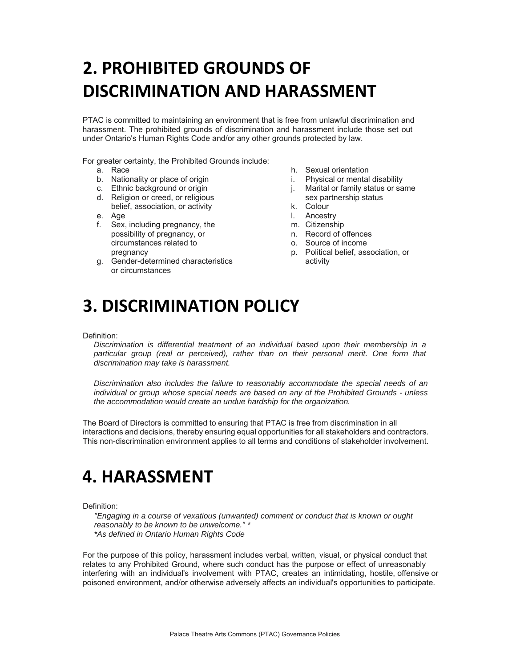# **2. PROHIBITED GROUNDS OF DISCRIMINATION AND HARASSMENT**

PTAC is committed to maintaining an environment that is free from unlawful discrimination and harassment. The prohibited grounds of discrimination and harassment include those set out under Ontario's Human Rights Code and/or any other grounds protected by law.

For greater certainty, the Prohibited Grounds include:

- a. Race
- b. Nationality or place of origin
- c. Ethnic background or origin
- d. Religion or creed, or religious belief, association, or activity
- e. Age
- f. Sex, including pregnancy, the possibility of pregnancy, or circumstances related to pregnancy
- g. Gender-determined characteristics or circumstances
- h. Sexual orientation
- i. Physical or mental disability
- j. Marital or family status or same sex partnership status
- k. Colour
- l. Ancestry
- m. Citizenship
- n. Record of offences
- o. Source of income
- p. Political belief, association, or activity

## **3. DISCRIMINATION POLICY**

Definition:

*Discrimination is differential treatment of an individual based upon their membership in a particular group (real or perceived), rather than on their personal merit. One form that discrimination may take is harassment.* 

*Discrimination also includes the failure to reasonably accommodate the special needs of an individual or group whose special needs are based on any of the Prohibited Grounds - unless the accommodation would create an undue hardship for the organization.* 

The Board of Directors is committed to ensuring that PTAC is free from discrimination in all interactions and decisions, thereby ensuring equal opportunities for all stakeholders and contractors. This non-discrimination environment applies to all terms and conditions of stakeholder involvement.

### **4. HARASSMENT**

Definition:

*"Engaging in a course of vexatious (unwanted) comment or conduct that is known or ought reasonably to be known to be unwelcome." \* \*As defined in Ontario Human Rights Code* 

For the purpose of this policy, harassment includes verbal, written, visual, or physical conduct that relates to any Prohibited Ground, where such conduct has the purpose or effect of unreasonably interfering with an individual's involvement with PTAC, creates an intimidating, hostile, offensive or poisoned environment, and/or otherwise adversely affects an individual's opportunities to participate.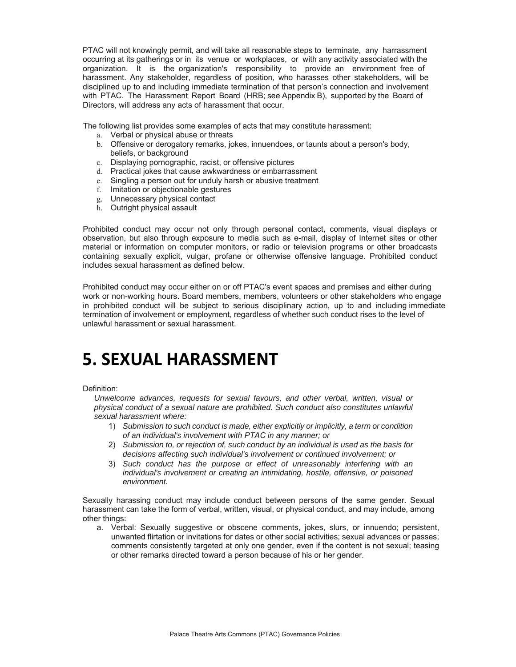PTAC will not knowingly permit, and will take all reasonable steps to terminate, any harrassment occurring at its gatherings or in its venue or workplaces, or with any activity associated with the organization. It is the organization's responsibility to provide an environment free of harassment. Any stakeholder, regardless of position, who harasses other stakeholders, will be disciplined up to and including immediate termination of that person's connection and involvement with PTAC. The Harassment Report Board (HRB; see Appendix B), supported by the Board of Directors, will address any acts of harassment that occur.

The following list provides some examples of acts that may constitute harassment:

- a. Verbal or physical abuse or threats
- b. Offensive or derogatory remarks, jokes, innuendoes, or taunts about a person's body, beliefs, or background
- c. Displaying pornographic, racist, or offensive pictures
- d. Practical jokes that cause awkwardness or embarrassment
- e. Singling a person out for unduly harsh or abusive treatment
- f. Imitation or objectionable gestures
- g. Unnecessary physical contact
- h. Outright physical assault

Prohibited conduct may occur not only through personal contact, comments, visual displays or observation, but also through exposure to media such as e-mail, display of Internet sites or other material or information on computer monitors, or radio or television programs or other broadcasts containing sexually explicit, vulgar, profane or otherwise offensive language. Prohibited conduct includes sexual harassment as defined below.

Prohibited conduct may occur either on or off PTAC's event spaces and premises and either during work or non-working hours. Board members, members, volunteers or other stakeholders who engage in prohibited conduct will be subject to serious disciplinary action, up to and including immediate termination of involvement or employment, regardless of whether such conduct rises to the level of unlawful harassment or sexual harassment.

## **5. SEXUAL HARASSMENT**

#### Definition:

*Unwelcome advances, requests for sexual favours, and other verbal, written, visual or physical conduct of a sexual nature are prohibited. Such conduct also constitutes unlawful sexual harassment where:* 

- 1) *Submission to such conduct is made, either explicitly or implicitly, a term or condition of an individual's involvement with PTAC in any manner; or*
- 2) *Submission to, or rejection of, such conduct by an individual is used as the basis for decisions affecting such individual's involvement or continued involvement; or*
- 3) *Such conduct has the purpose or effect of unreasonably interfering with an individual's involvement or creating an intimidating, hostile, offensive, or poisoned environment.*

Sexually harassing conduct may include conduct between persons of the same gender. Sexual harassment can take the form of verbal, written, visual, or physical conduct, and may include, among other things:

a. Verbal: Sexually suggestive or obscene comments, jokes, slurs, or innuendo; persistent, unwanted flirtation or invitations for dates or other social activities; sexual advances or passes; comments consistently targeted at only one gender, even if the content is not sexual; teasing or other remarks directed toward a person because of his or her gender.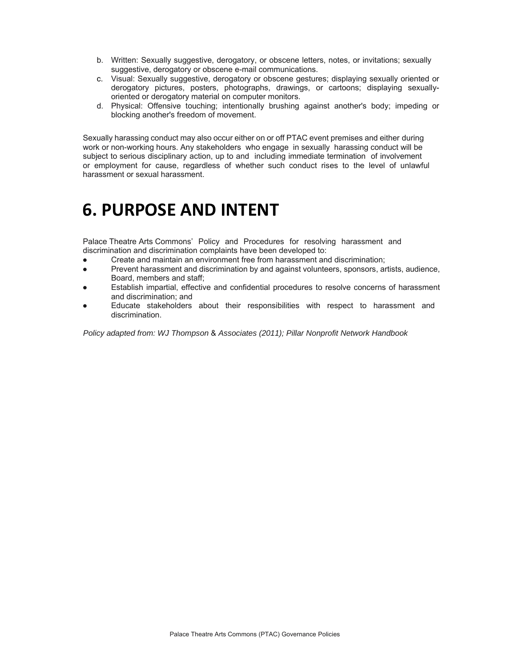- b. Written: Sexually suggestive, derogatory, or obscene letters, notes, or invitations; sexually suggestive, derogatory or obscene e-mail communications.
- c. Visual: Sexually suggestive, derogatory or obscene gestures; displaying sexually oriented or derogatory pictures, posters, photographs, drawings, or cartoons; displaying sexuallyoriented or derogatory material on computer monitors.
- d. Physical: Offensive touching; intentionally brushing against another's body; impeding or blocking another's freedom of movement.

Sexually harassing conduct may also occur either on or off PTAC event premises and either during work or non-working hours. Any stakeholders who engage in sexually harassing conduct will be subject to serious disciplinary action, up to and including immediate termination of involvement or employment for cause, regardless of whether such conduct rises to the level of unlawful harassment or sexual harassment.

### **6. PURPOSE AND INTENT**

Palace Theatre Arts Commons' Policy and Procedures for resolving harassment and discrimination and discrimination complaints have been developed to:

- Create and maintain an environment free from harassment and discrimination;
- Prevent harassment and discrimination by and against volunteers, sponsors, artists, audience, Board, members and staff;
- Establish impartial, effective and confidential procedures to resolve concerns of harassment and discrimination; and
- Educate stakeholders about their responsibilities with respect to harassment and discrimination.

*Policy adapted from: WJ Thompson* & *Associates (2011); Pillar Nonprofit Network Handbook*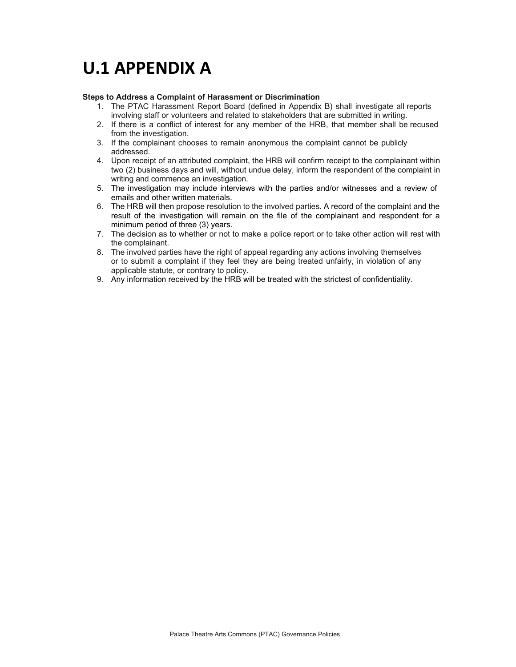# **U.1 APPENDIX A**

#### **Steps to Address a Complaint of Harassment or Discrimination**

- 1. The PTAC Harassment Report Board (defined in Appendix B) shall investigate all reports involving staff or volunteers and related to stakeholders that are submitted in writing.
- 2. If there is a conflict of interest for any member of the HRB, that member shall be recused from the investigation.
- 3. If the complainant chooses to remain anonymous the complaint cannot be publicly addressed.
- 4. Upon receipt of an attributed complaint, the HRB will confirm receipt to the complainant within two (2) business days and will, without undue delay, inform the respondent of the complaint in writing and commence an investigation.
- 5. The investigation may include interviews with the parties and/or witnesses and a review of emails and other written materials.
- 6. The HRB will then propose resolution to the involved parties. A record of the complaint and the result of the investigation will remain on the file of the complainant and respondent for a minimum period of three (3) years.
- 7. The decision as to whether or not to make a police report or to take other action will rest with the complainant.
- 8. The involved parties have the right of appeal regarding any actions involving themselves or to submit a complaint if they feel they are being treated unfairly, in violation of any applicable statute, or contrary to policy.
- 9. Any information received by the HRB will be treated with the strictest of confidentiality.